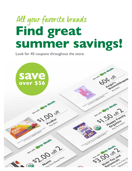# Find great summer savings! **All your favorite brands**

Look for 40 coupons throughout the store.

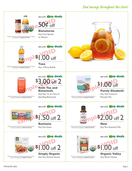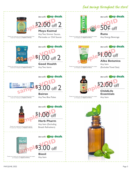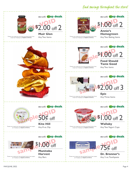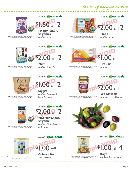